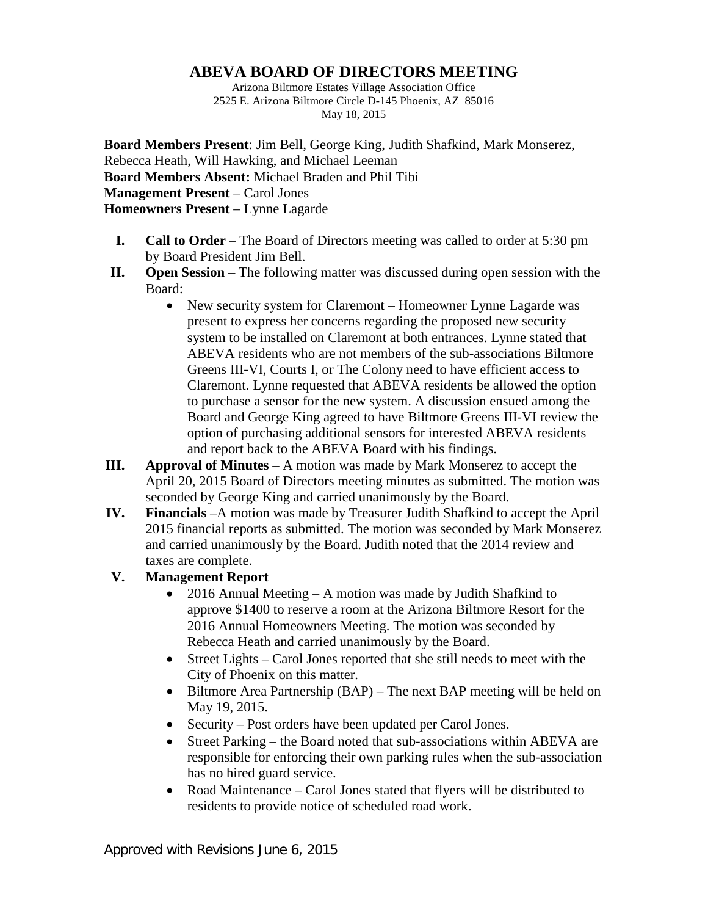## **ABEVA BOARD OF DIRECTORS MEETING**

Arizona Biltmore Estates Village Association Office 2525 E. Arizona Biltmore Circle D-145 Phoenix, AZ 85016 May 18, 2015

**Board Members Present**: Jim Bell, George King, Judith Shafkind, Mark Monserez, Rebecca Heath, Will Hawking, and Michael Leeman **Board Members Absent:** Michael Braden and Phil Tibi **Management Present** – Carol Jones **Homeowners Present** – Lynne Lagarde

- **I. Call to Order** The Board of Directors meeting was called to order at 5:30 pm by Board President Jim Bell.
- **II. Open Session** The following matter was discussed during open session with the Board:
	- New security system for Claremont Homeowner Lynne Lagarde was present to express her concerns regarding the proposed new security system to be installed on Claremont at both entrances. Lynne stated that ABEVA residents who are not members of the sub-associations Biltmore Greens III-VI, Courts I, or The Colony need to have efficient access to Claremont. Lynne requested that ABEVA residents be allowed the option to purchase a sensor for the new system. A discussion ensued among the Board and George King agreed to have Biltmore Greens III-VI review the option of purchasing additional sensors for interested ABEVA residents and report back to the ABEVA Board with his findings.
- **III. Approval of Minutes** A motion was made by Mark Monserez to accept the April 20, 2015 Board of Directors meeting minutes as submitted. The motion was seconded by George King and carried unanimously by the Board.
- **IV. Financials** –A motion was made by Treasurer Judith Shafkind to accept the April 2015 financial reports as submitted. The motion was seconded by Mark Monserez and carried unanimously by the Board. Judith noted that the 2014 review and taxes are complete.

## **V. Management Report**

- 2016 Annual Meeting A motion was made by Judith Shafkind to approve \$1400 to reserve a room at the Arizona Biltmore Resort for the 2016 Annual Homeowners Meeting. The motion was seconded by Rebecca Heath and carried unanimously by the Board.
- Street Lights Carol Jones reported that she still needs to meet with the City of Phoenix on this matter.
- Biltmore Area Partnership (BAP) The next BAP meeting will be held on May 19, 2015.
- Security Post orders have been updated per Carol Jones.
- Street Parking the Board noted that sub-associations within ABEVA are responsible for enforcing their own parking rules when the sub-association has no hired guard service.
- Road Maintenance Carol Jones stated that flyers will be distributed to residents to provide notice of scheduled road work.